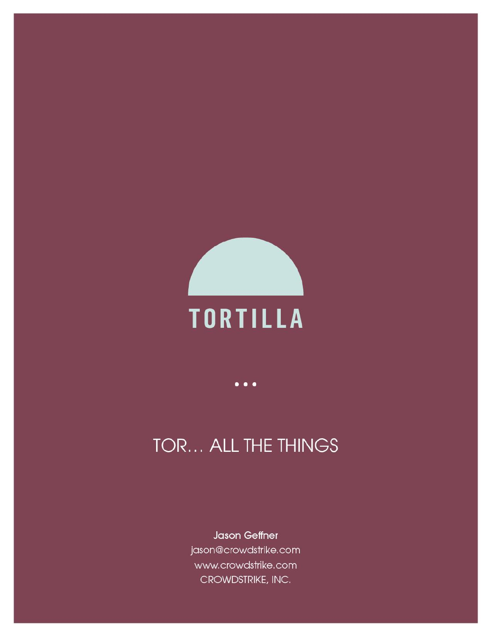

# TOR... ALL THE THINGS

Jason Geffner jason@crowdstrike.com www.crowdstrike.com CROWDSTRIKE, INC.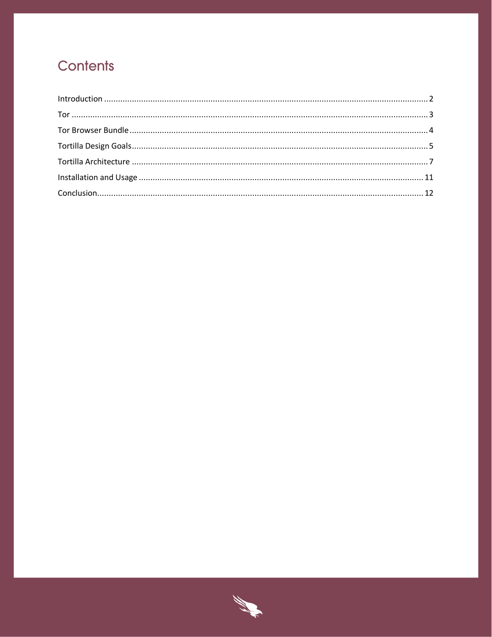# Contents

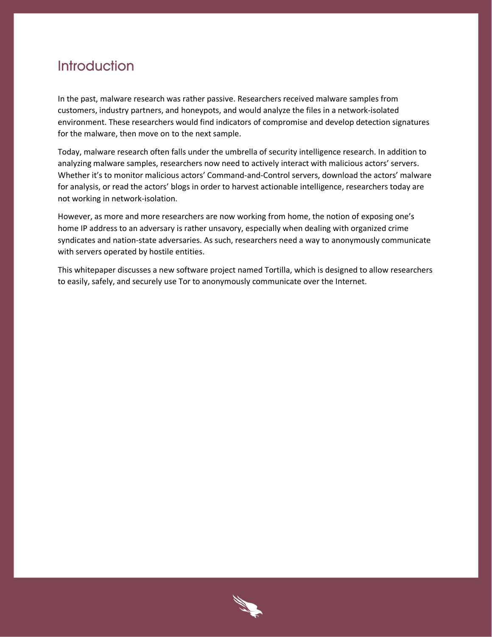### <span id="page-2-0"></span>Introduction

In the past, malware research was rather passive. Researchers received malware samples from customers, industry partners, and honeypots, and would analyze the files in a network-isolated environment. These researchers would find indicators of compromise and develop detection signatures for the malware, then move on to the next sample.

Today, malware research often falls under the umbrella of security intelligence research. In addition to analyzing malware samples, researchers now need to actively interact with malicious actors' servers. Whether it's to monitor malicious actors' Command-and-Control servers, download the actors' malware for analysis, or read the actors' blogs in order to harvest actionable intelligence, researchers today are not working in network-isolation.

However, as more and more researchers are now working from home, the notion of exposing one's home IP address to an adversary is rather unsavory, especially when dealing with organized crime syndicates and nation-state adversaries. As such, researchers need a way to anonymously communicate with servers operated by hostile entities.

This whitepaper discusses a new software project named Tortilla, which is designed to allow researchers to easily, safely, and securely use Tor to anonymously communicate over the Internet.

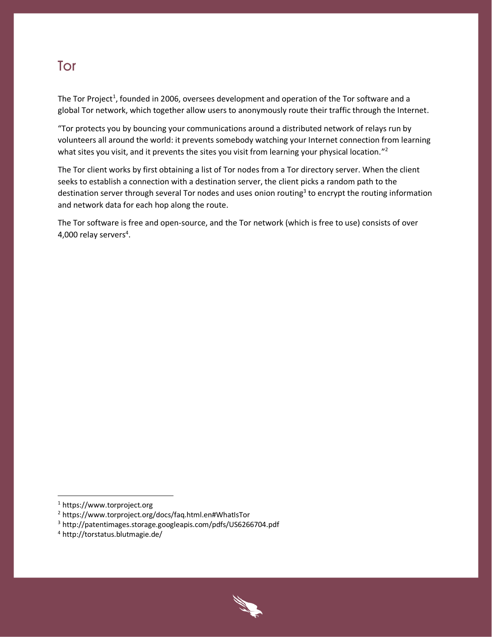### <span id="page-3-0"></span>Tor

The Tor Project<sup>1</sup>, founded in 2006, oversees development and operation of the Tor software and a global Tor network, which together allow users to anonymously route their traffic through the Internet.

"Tor protects you by bouncing your communications around a distributed network of relays run by volunteers all around the world: it prevents somebody watching your Internet connection from learning what sites you visit, and it prevents the sites you visit from learning your physical location."<sup>2</sup>

The Tor client works by first obtaining a list of Tor nodes from a Tor directory server. When the client seeks to establish a connection with a destination server, the client picks a random path to the destination server through several Tor nodes and uses onion routing<sup>3</sup> to encrypt the routing information and network data for each hop along the route.

The Tor software is free and open-source, and the Tor network (which is free to use) consists of over 4,000 relay servers<sup>4</sup>.

 $\overline{\phantom{a}}$ 



<sup>1</sup> https://www.torproject.org

<sup>2</sup> https://www.torproject.org/docs/faq.html.en#WhatIsTor

<sup>3</sup> http://patentimages.storage.googleapis.com/pdfs/US6266704.pdf

<sup>4</sup> http://torstatus.blutmagie.de/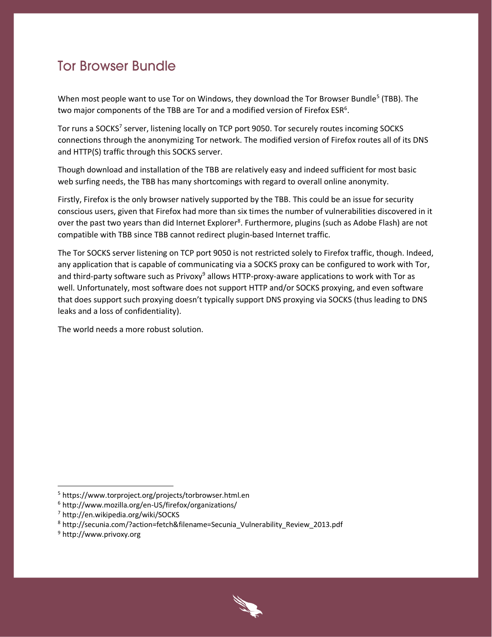### <span id="page-4-0"></span>**Tor Browser Bundle**

When most people want to use Tor on Windows, they download the Tor Browser Bundle<sup>5</sup> (TBB). The two major components of the TBB are Tor and a modified version of Firefox ESR $^6$ .

Tor runs a SOCKS<sup>7</sup> server, listening locally on TCP port 9050. Tor securely routes incoming SOCKS connections through the anonymizing Tor network. The modified version of Firefox routes all of its DNS and HTTP(S) traffic through this SOCKS server.

Though download and installation of the TBB are relatively easy and indeed sufficient for most basic web surfing needs, the TBB has many shortcomings with regard to overall online anonymity.

Firstly, Firefox is the only browser natively supported by the TBB. This could be an issue for security conscious users, given that Firefox had more than six times the number of vulnerabilities discovered in it over the past two years than did Internet Explorer<sup>8</sup>. Furthermore, plugins (such as Adobe Flash) are not compatible with TBB since TBB cannot redirect plugin-based Internet traffic.

The Tor SOCKS server listening on TCP port 9050 is not restricted solely to Firefox traffic, though. Indeed, any application that is capable of communicating via a SOCKS proxy can be configured to work with Tor, and third-party software such as Privoxy<sup>9</sup> allows HTTP-proxy-aware applications to work with Tor as well. Unfortunately, most software does not support HTTP and/or SOCKS proxying, and even software that does support such proxying doesn't typically support DNS proxying via SOCKS (thus leading to DNS leaks and a loss of confidentiality).

The world needs a more robust solution.



<sup>5</sup> https://www.torproject.org/projects/torbrowser.html.en

<sup>6</sup> http://www.mozilla.org/en-US/firefox/organizations/

<sup>7</sup> http://en.wikipedia.org/wiki/SOCKS

<sup>8</sup> http://secunia.com/?action=fetch&filename=Secunia\_Vulnerability\_Review\_2013.pdf

<sup>9</sup> http://www.privoxy.org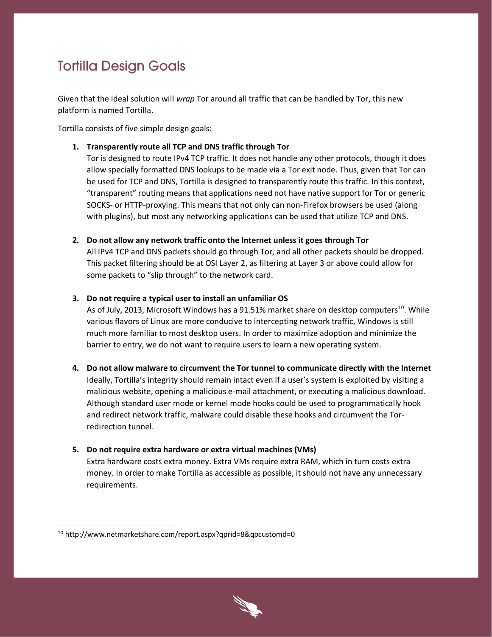# <span id="page-5-0"></span>**Tortilla Design Goals**

Given that the ideal solution will *wrap* Tor around all traffic that can be handled by Tor, this new platform is named Tortilla.

Tortilla consists of five simple design goals:

**1. Transparently route all TCP and DNS traffic through Tor**

Tor is designed to route IPv4 TCP traffic. It does not handle any other protocols, though it does allow specially formatted DNS lookups to be made via a Tor exit node. Thus, given that Tor can be used for TCP and DNS, Tortilla is designed to transparently route this traffic. In this context, "transparent" routing means that applications need not have native support for Tor or generic SOCKS- or HTTP-proxying. This means that not only can non-Firefox browsers be used (along with plugins), but most any networking applications can be used that utilize TCP and DNS.

**2. Do not allow any network traffic onto the Internet unless it goes through Tor**

All IPv4 TCP and DNS packets should go through Tor, and all other packets should be dropped. This packet filtering should be at OSI Layer 2, as filtering at Layer 3 or above could allow for some packets to "slip through" to the network card.

#### **3. Do not require a typical user to install an unfamiliar OS**

As of July, 2013, Microsoft Windows has a 91.51% market share on desktop computers<sup>10</sup>. While various flavors of Linux are more conducive to intercepting network traffic, Windows is still much more familiar to most desktop users. In order to maximize adoption and minimize the barrier to entry, we do not want to require users to learn a new operating system.

**4. Do not allow malware to circumvent the Tor tunnel to communicate directly with the Internet**

Ideally, Tortilla's integrity should remain intact even if a user's system is exploited by visiting a malicious website, opening a malicious e-mail attachment, or executing a malicious download. Although standard user mode or kernel mode hooks could be used to programmatically hook and redirect network traffic, malware could disable these hooks and circumvent the Torredirection tunnel.

**5. Do not require extra hardware or extra virtual machines (VMs)**

Extra hardware costs extra money. Extra VMs require extra RAM, which in turn costs extra money. In order to make Tortilla as accessible as possible, it should not have any unnecessary requirements.



<sup>10</sup> http://www.netmarketshare.com/report.aspx?qprid=8&qpcustomd=0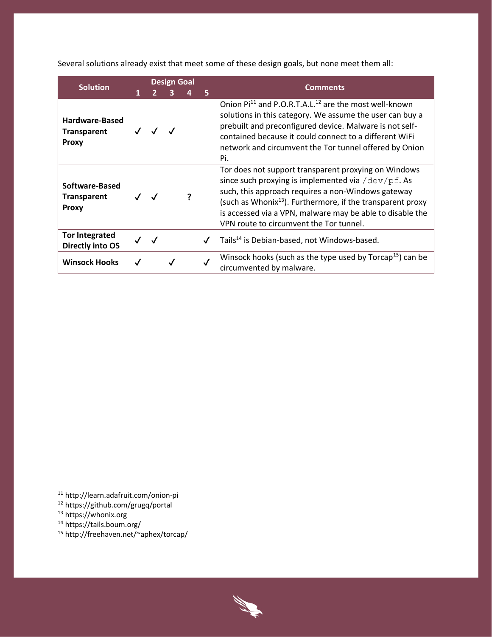Several solutions already exist that meet some of these design goals, but none meet them all:

| <b>Solution</b>                                      |     | <b>Design Goal</b> |   |              | Comments                                                                                                                                                                                                                                                                                                                                     |  |  |
|------------------------------------------------------|-----|--------------------|---|--------------|----------------------------------------------------------------------------------------------------------------------------------------------------------------------------------------------------------------------------------------------------------------------------------------------------------------------------------------------|--|--|
|                                                      |     | 3                  | 4 | 5            |                                                                                                                                                                                                                                                                                                                                              |  |  |
| Hardware-Based<br><b>Transparent</b><br><b>Proxy</b> |     |                    |   |              | Onion Pi <sup>11</sup> and P.O.R.T.A.L. <sup>12</sup> are the most well-known<br>solutions in this category. We assume the user can buy a<br>prebuilt and preconfigured device. Malware is not self-<br>contained because it could connect to a different WiFi<br>network and circumvent the Tor tunnel offered by Onion<br>Pi.              |  |  |
| Software-Based<br><b>Transparent</b><br><b>Proxy</b> | J J |                    |   |              | Tor does not support transparent proxying on Windows<br>since such proxying is implemented via /dev/pf. As<br>such, this approach requires a non-Windows gateway<br>(such as Whonix $^{13}$ ). Furthermore, if the transparent proxy<br>is accessed via a VPN, malware may be able to disable the<br>VPN route to circumvent the Tor tunnel. |  |  |
| <b>Tor Integrated</b><br><b>Directly into OS</b>     |     |                    |   | $\checkmark$ | Tails <sup>14</sup> is Debian-based, not Windows-based.                                                                                                                                                                                                                                                                                      |  |  |
| <b>Winsock Hooks</b>                                 |     |                    |   |              | Winsock hooks (such as the type used by $Torcap15$ ) can be<br>circumvented by malware.                                                                                                                                                                                                                                                      |  |  |



<sup>11</sup> http://learn.adafruit.com/onion-pi

<sup>12</sup> https://github.com/grugq/portal

<sup>&</sup>lt;sup>13</sup> https://whonix.org

<sup>14</sup> https://tails.boum.org/

<sup>15</sup> http://freehaven.net/~aphex/torcap/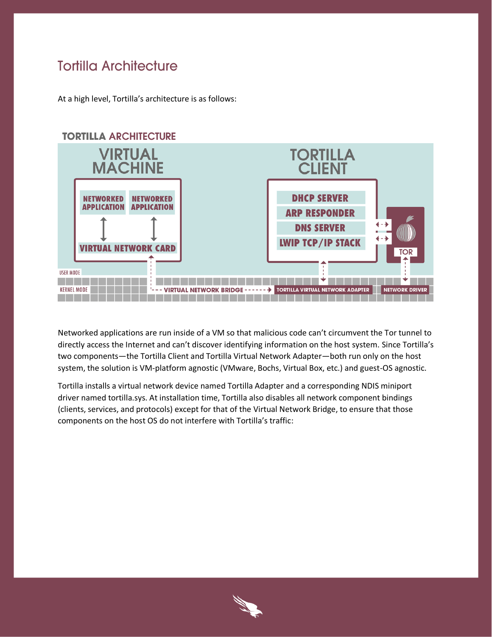### <span id="page-7-0"></span>**Tortilla Architecture**

At a high level, Tortilla's architecture is as follows:



Networked applications are run inside of a VM so that malicious code can't circumvent the Tor tunnel to directly access the Internet and can't discover identifying information on the host system. Since Tortilla's two components—the Tortilla Client and Tortilla Virtual Network Adapter—both run only on the host system, the solution is VM-platform agnostic (VMware, Bochs, Virtual Box, etc.) and guest-OS agnostic.

Tortilla installs a virtual network device named Tortilla Adapter and a corresponding NDIS miniport driver named tortilla.sys. At installation time, Tortilla also disables all network component bindings (clients, services, and protocols) except for that of the Virtual Network Bridge, to ensure that those components on the host OS do not interfere with Tortilla's traffic:

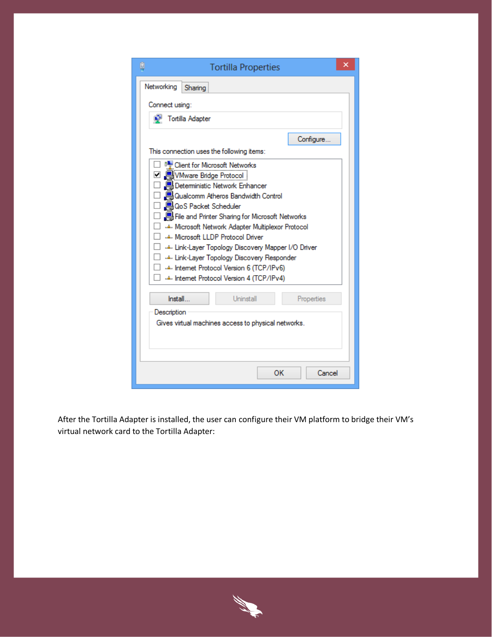| φ<br><b>Tortilla Properties</b>                                                                                                                                                                                                                                                                                                                                                                                                                                                                                         | x |  |  |  |  |  |  |
|-------------------------------------------------------------------------------------------------------------------------------------------------------------------------------------------------------------------------------------------------------------------------------------------------------------------------------------------------------------------------------------------------------------------------------------------------------------------------------------------------------------------------|---|--|--|--|--|--|--|
| Networking<br>Sharing                                                                                                                                                                                                                                                                                                                                                                                                                                                                                                   |   |  |  |  |  |  |  |
| Connect using:                                                                                                                                                                                                                                                                                                                                                                                                                                                                                                          |   |  |  |  |  |  |  |
| Tortilla Adapter                                                                                                                                                                                                                                                                                                                                                                                                                                                                                                        |   |  |  |  |  |  |  |
| Configure                                                                                                                                                                                                                                                                                                                                                                                                                                                                                                               |   |  |  |  |  |  |  |
| This connection uses the following items:                                                                                                                                                                                                                                                                                                                                                                                                                                                                               |   |  |  |  |  |  |  |
| <sup>0</sup> Client for Microsoft Networks<br>□ 및 VMware Bridge Protocol  <br>Deterministic Network Enhancer<br>Qualcomm Atheros Bandwidth Control<br><b>A</b> QoS Packet Scheduler<br>File and Printer Sharing for Microsoft Networks<br>Microsoft Network Adapter Multiplexor Protocol<br>Microsoft LLDP Protocol Driver<br>Link-Layer Topology Discovery Mapper I/O Driver<br>Link-Layer Topology Discovery Responder<br>Internet Protocol Version 6 (TCP/IPv6) — استف<br>-4- Internet Protocol Version 4 (TCP/IPv4) |   |  |  |  |  |  |  |
| Install<br>Uninstall<br>Properties                                                                                                                                                                                                                                                                                                                                                                                                                                                                                      |   |  |  |  |  |  |  |
| Description<br>Gives virtual machines access to physical networks.                                                                                                                                                                                                                                                                                                                                                                                                                                                      |   |  |  |  |  |  |  |
|                                                                                                                                                                                                                                                                                                                                                                                                                                                                                                                         |   |  |  |  |  |  |  |
| OK<br>Cancel                                                                                                                                                                                                                                                                                                                                                                                                                                                                                                            |   |  |  |  |  |  |  |

After the Tortilla Adapter is installed, the user can configure their VM platform to bridge their VM's virtual network card to the Tortilla Adapter:

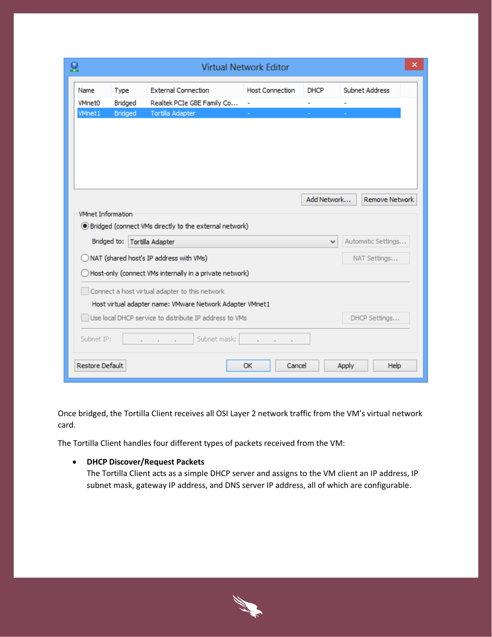| ×<br>ջ<br><b>Virtual Network Editor</b> |              |                                                           |                        |             |                             |  |  |  |  |
|-----------------------------------------|--------------|-----------------------------------------------------------|------------------------|-------------|-----------------------------|--|--|--|--|
| Name                                    | Type         | <b>External Connection</b>                                | <b>Host Connection</b> | <b>DHCP</b> | <b>Subnet Address</b>       |  |  |  |  |
| <b>VMnet0</b>                           | Bridged      | Realtek PCIe GBE Family Co                                | ۰                      | ۰           |                             |  |  |  |  |
| <b>VMnet1</b>                           | Bridged      | Tortilla Adapter                                          |                        |             |                             |  |  |  |  |
|                                         |              |                                                           |                        |             |                             |  |  |  |  |
|                                         |              |                                                           |                        |             |                             |  |  |  |  |
|                                         |              |                                                           |                        |             |                             |  |  |  |  |
|                                         |              |                                                           |                        |             |                             |  |  |  |  |
|                                         |              |                                                           |                        |             |                             |  |  |  |  |
|                                         |              |                                                           |                        |             |                             |  |  |  |  |
|                                         |              |                                                           |                        | Add Network | <b>Remove Network</b>       |  |  |  |  |
| <b>VMnet Information</b>                |              |                                                           |                        |             |                             |  |  |  |  |
|                                         |              | 5) Bridged (connect VMs directly to the external network) |                        |             |                             |  |  |  |  |
| Bridged to:                             |              | Tortilla Adapter                                          |                        | v           | Automatic Settings          |  |  |  |  |
| NAT (shared host's IP address with VMs) | NAT Settings |                                                           |                        |             |                             |  |  |  |  |
|                                         |              | Host-only (connect VMs internally in a private network)   |                        |             |                             |  |  |  |  |
|                                         |              |                                                           |                        |             |                             |  |  |  |  |
|                                         |              | Connect a host virtual adapter to this network            |                        |             |                             |  |  |  |  |
|                                         |              | Host virtual adapter name: VMware Network Adapter VMnet1  |                        |             |                             |  |  |  |  |
|                                         |              | Use local DHCP service to distribute IP address to VMs    |                        |             | DHCP Settings               |  |  |  |  |
| Subnet IP:                              |              | Subnet mask:                                              |                        |             |                             |  |  |  |  |
| <b>Restore Default</b>                  |              |                                                           | Cancel<br>OK           |             | <b>Help</b><br><b>Apply</b> |  |  |  |  |

Once bridged, the Tortilla Client receives all OSI Layer 2 network traffic from the VM's virtual network card.

The Tortilla Client handles four different types of packets received from the VM:

#### **DHCP Discover/Request Packets**

The Tortilla Client acts as a simple DHCP server and assigns to the VM client an IP address, IP subnet mask, gateway IP address, and DNS server IP address, all of which are configurable.

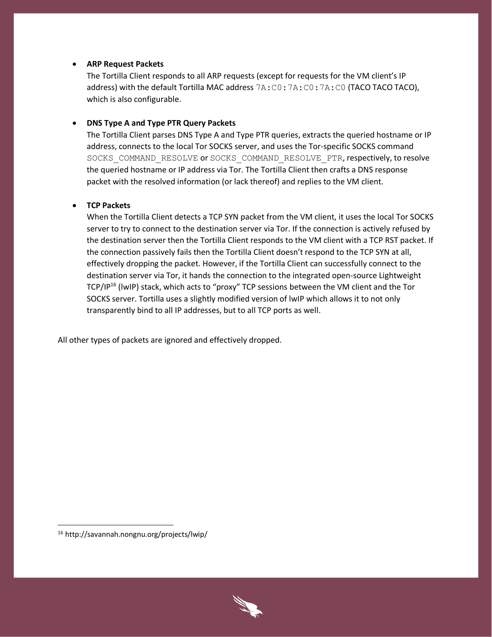#### **ARP Request Packets**

The Tortilla Client responds to all ARP requests (except for requests for the VM client's IP address) with the default Tortilla MAC address 7A:C0:7A:C0:7A:C0 (TACO TACO TACO), which is also configurable.

#### **DNS Type A and Type PTR Query Packets**

The Tortilla Client parses DNS Type A and Type PTR queries, extracts the queried hostname or IP address, connects to the local Tor SOCKS server, and uses the Tor-specific SOCKS command SOCKS\_COMMAND\_RESOLVE or SOCKS\_COMMAND\_RESOLVE\_PTR, respectively, to resolve the queried hostname or IP address via Tor. The Tortilla Client then crafts a DNS response packet with the resolved information (or lack thereof) and replies to the VM client.

#### **TCP Packets**

When the Tortilla Client detects a TCP SYN packet from the VM client, it uses the local Tor SOCKS server to try to connect to the destination server via Tor. If the connection is actively refused by the destination server then the Tortilla Client responds to the VM client with a TCP RST packet. If the connection passively fails then the Tortilla Client doesn't respond to the TCP SYN at all, effectively dropping the packet. However, if the Tortilla Client can successfully connect to the destination server via Tor, it hands the connection to the integrated open-source Lightweight TCP/IP<sup>16</sup> (lwIP) stack, which acts to "proxy" TCP sessions between the VM client and the Tor SOCKS server. Tortilla uses a slightly modified version of lwIP which allows it to not only transparently bind to all IP addresses, but to all TCP ports as well.

All other types of packets are ignored and effectively dropped.

<sup>16</sup> http://savannah.nongnu.org/projects/lwip/

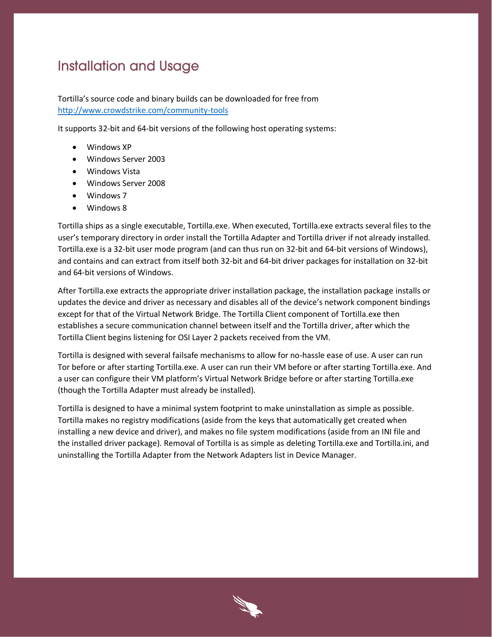## <span id="page-11-0"></span>**Installation and Usage**

Tortilla's source code and binary builds can be downloaded for free from <http://www.crowdstrike.com/community-tools>

It supports 32-bit and 64-bit versions of the following host operating systems:

- Windows XP
- Windows Server 2003
- Windows Vista
- Windows Server 2008
- Windows 7
- Windows 8

Tortilla ships as a single executable, Tortilla.exe. When executed, Tortilla.exe extracts several files to the user's temporary directory in order install the Tortilla Adapter and Tortilla driver if not already installed. Tortilla.exe is a 32-bit user mode program (and can thus run on 32-bit and 64-bit versions of Windows), and contains and can extract from itself both 32-bit and 64-bit driver packages for installation on 32-bit and 64-bit versions of Windows.

After Tortilla.exe extracts the appropriate driver installation package, the installation package installs or updates the device and driver as necessary and disables all of the device's network component bindings except for that of the Virtual Network Bridge. The Tortilla Client component of Tortilla.exe then establishes a secure communication channel between itself and the Tortilla driver, after which the Tortilla Client begins listening for OSI Layer 2 packets received from the VM.

Tortilla is designed with several failsafe mechanisms to allow for no-hassle ease of use. A user can run Tor before or after starting Tortilla.exe. A user can run their VM before or after starting Tortilla.exe. And a user can configure their VM platform's Virtual Network Bridge before or after starting Tortilla.exe (though the Tortilla Adapter must already be installed).

Tortilla is designed to have a minimal system footprint to make uninstallation as simple as possible. Tortilla makes no registry modifications (aside from the keys that automatically get created when installing a new device and driver), and makes no file system modifications (aside from an INI file and the installed driver package). Removal of Tortilla is as simple as deleting Tortilla.exe and Tortilla.ini, and uninstalling the Tortilla Adapter from the Network Adapters list in Device Manager.

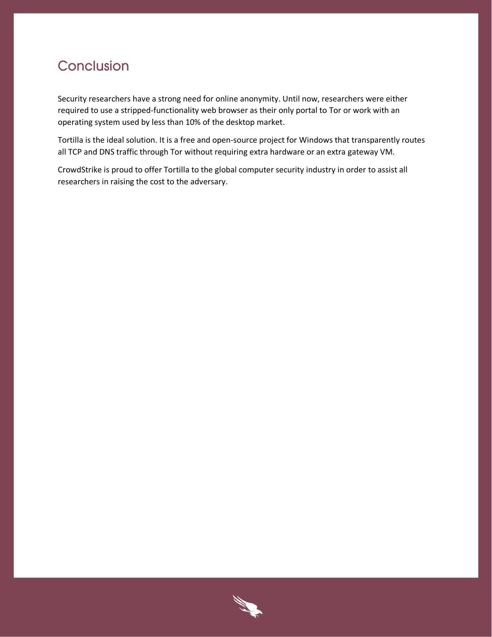### <span id="page-12-0"></span>Conclusion

Security researchers have a strong need for online anonymity. Until now, researchers were either required to use a stripped-functionality web browser as their only portal to Tor or work with an operating system used by less than 10% of the desktop market.

Tortilla is the ideal solution. It is a free and open-source project for Windows that transparently routes all TCP and DNS traffic through Tor without requiring extra hardware or an extra gateway VM.

CrowdStrike is proud to offer Tortilla to the global computer security industry in order to assist all researchers in raising the cost to the adversary.